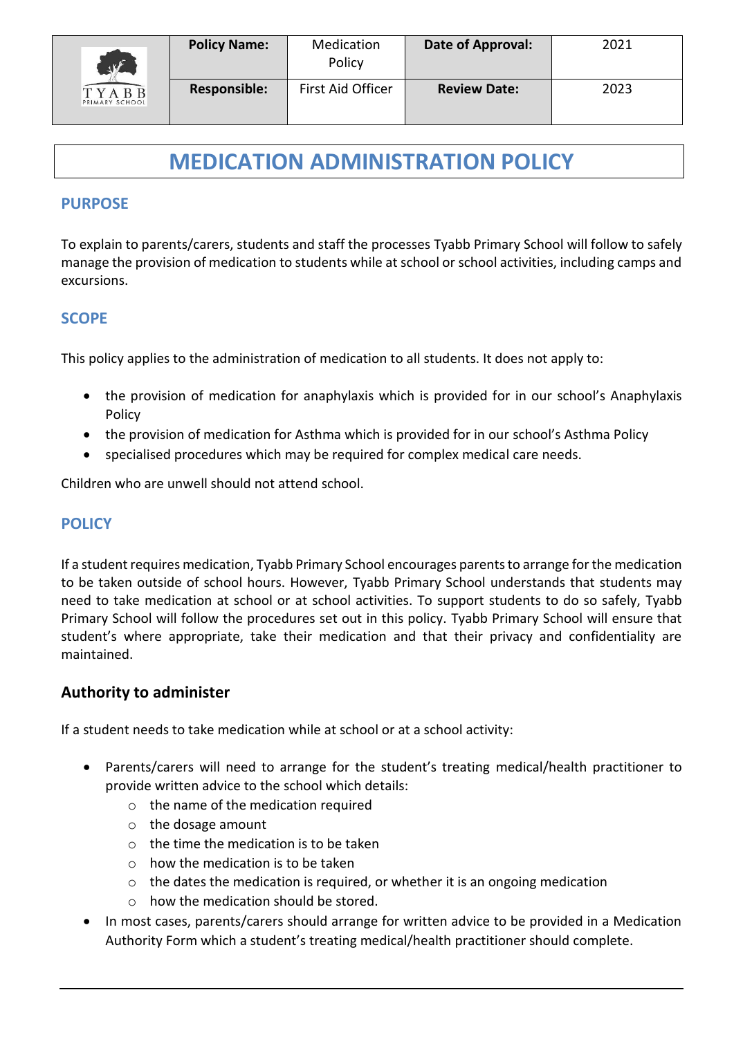

# **MEDICATION ADMINISTRATION POLICY**

#### **PURPOSE**

To explain to parents/carers, students and staff the processes Tyabb Primary School will follow to safely manage the provision of medication to students while at school or school activities, including camps and excursions.

#### **SCOPE**

This policy applies to the administration of medication to all students. It does not apply to:

- the provision of medication for anaphylaxis which is provided for in our school's Anaphylaxis Policy
- the provision of medication for Asthma which is provided for in our school's Asthma Policy
- specialised procedures which may be required for complex medical care needs.

Children who are unwell should not attend school.

## **POLICY**

If a student requires medication, Tyabb Primary School encourages parents to arrange for the medication to be taken outside of school hours. However, Tyabb Primary School understands that students may need to take medication at school or at school activities. To support students to do so safely, Tyabb Primary School will follow the procedures set out in this policy. Tyabb Primary School will ensure that student's where appropriate, take their medication and that their privacy and confidentiality are maintained.

## **Authority to administer**

If a student needs to take medication while at school or at a school activity:

- Parents/carers will need to arrange for the student's treating medical/health practitioner to provide written advice to the school which details:
	- o the name of the medication required
	- o the dosage amount
	- $\circ$  the time the medication is to be taken
	- $\circ$  how the medication is to be taken
	- o the dates the medication is required, or whether it is an ongoing medication
	- o how the medication should be stored.
- In most cases, parents/carers should arrange for written advice to be provided in a Medication Authority Form which a student's treating medical/health practitioner should complete.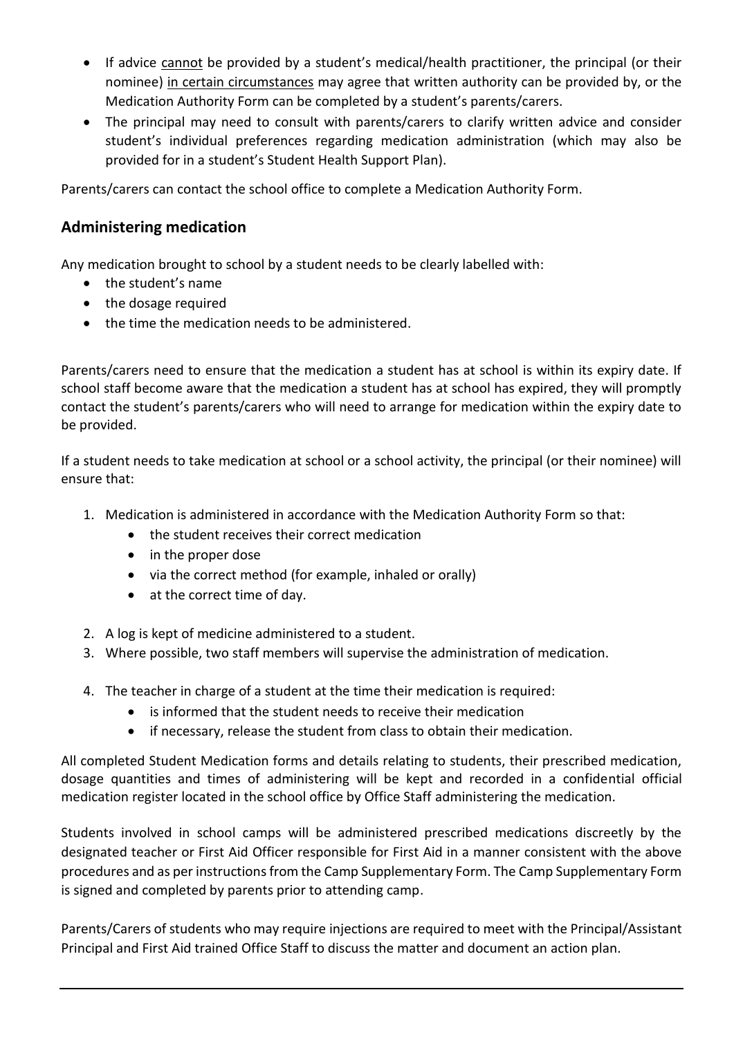- If advice cannot be provided by a student's medical/health practitioner, the principal (or their nominee) in certain circumstances may agree that written authority can be provided by, or the Medication Authority Form can be completed by a student's parents/carers.
- The principal may need to consult with parents/carers to clarify written advice and consider student's individual preferences regarding medication administration (which may also be provided for in a student's Student Health Support Plan).

Parents/carers can contact the school office to complete a Medication Authority Form.

## **Administering medication**

Any medication brought to school by a student needs to be clearly labelled with:

- the student's name
- the dosage required
- the time the medication needs to be administered.

Parents/carers need to ensure that the medication a student has at school is within its expiry date. If school staff become aware that the medication a student has at school has expired, they will promptly contact the student's parents/carers who will need to arrange for medication within the expiry date to be provided.

If a student needs to take medication at school or a school activity, the principal (or their nominee) will ensure that:

- 1. Medication is administered in accordance with the Medication Authority Form so that:
	- the student receives their correct medication
	- in the proper dose
	- via the correct method (for example, inhaled or orally)
	- at the correct time of day.
- 2. A log is kept of medicine administered to a student.
- 3. Where possible, two staff members will supervise the administration of medication.
- 4. The teacher in charge of a student at the time their medication is required:
	- is informed that the student needs to receive their medication
	- if necessary, release the student from class to obtain their medication.

All completed Student Medication forms and details relating to students, their prescribed medication, dosage quantities and times of administering will be kept and recorded in a confidential official medication register located in the school office by Office Staff administering the medication.

Students involved in school camps will be administered prescribed medications discreetly by the designated teacher or First Aid Officer responsible for First Aid in a manner consistent with the above procedures and as per instructions from the Camp Supplementary Form. The Camp Supplementary Form is signed and completed by parents prior to attending camp.

Parents/Carers of students who may require injections are required to meet with the Principal/Assistant Principal and First Aid trained Office Staff to discuss the matter and document an action plan.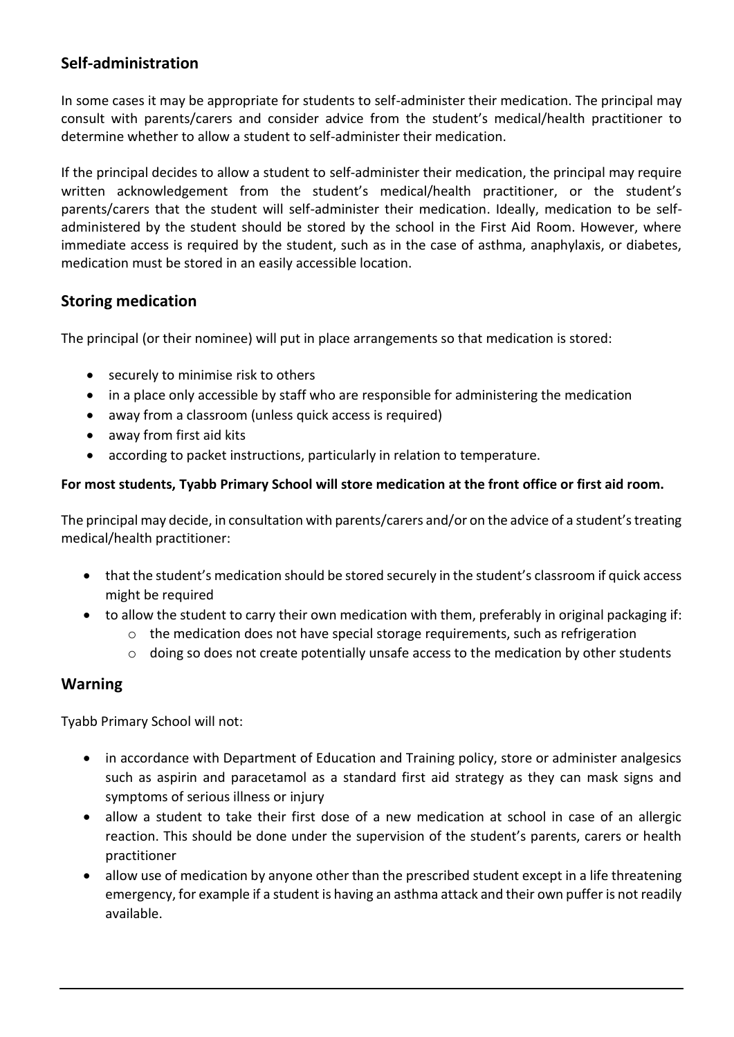# **Self-administration**

In some cases it may be appropriate for students to self-administer their medication. The principal may consult with parents/carers and consider advice from the student's medical/health practitioner to determine whether to allow a student to self-administer their medication.

If the principal decides to allow a student to self-administer their medication, the principal may require written acknowledgement from the student's medical/health practitioner, or the student's parents/carers that the student will self-administer their medication. Ideally, medication to be selfadministered by the student should be stored by the school in the First Aid Room. However, where immediate access is required by the student, such as in the case of asthma, anaphylaxis, or diabetes, medication must be stored in an easily accessible location.

# **Storing medication**

The principal (or their nominee) will put in place arrangements so that medication is stored:

- securely to minimise risk to others
- in a place only accessible by staff who are responsible for administering the medication
- away from a classroom (unless quick access is required)
- away from first aid kits
- according to packet instructions, particularly in relation to temperature.

#### **For most students, Tyabb Primary School will store medication at the front office or first aid room.**

The principal may decide, in consultation with parents/carers and/or on the advice of a student's treating medical/health practitioner:

- that the student's medication should be stored securely in the student's classroom if quick access might be required
- to allow the student to carry their own medication with them, preferably in original packaging if:
	- $\circ$  the medication does not have special storage requirements, such as refrigeration
	- $\circ$  doing so does not create potentially unsafe access to the medication by other students

## **Warning**

Tyabb Primary School will not:

- in accordance with Department of Education and Training policy, store or administer analgesics such as aspirin and paracetamol as a standard first aid strategy as they can mask signs and symptoms of serious illness or injury
- allow a student to take their first dose of a new medication at school in case of an allergic reaction. This should be done under the supervision of the student's parents, carers or health practitioner
- allow use of medication by anyone other than the prescribed student except in a life threatening emergency, for example if a student is having an asthma attack and their own puffer is not readily available.